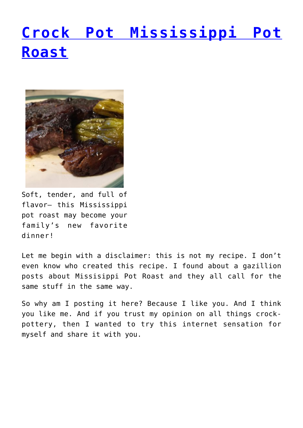## **[Crock Pot Mississippi Pot](http://dinnerisacrock.com/2016/11/16/crock-pot-mississippi-pot-roast/) [Roast](http://dinnerisacrock.com/2016/11/16/crock-pot-mississippi-pot-roast/)**



Soft, tender, and full of flavor– this Mississippi pot roast may become your family's new favorite dinner!

Let me begin with a disclaimer: this is not my recipe. I don't even know who created this recipe. I found about a gazillion posts about Missisippi Pot Roast and they all call for the same stuff in the same way.

So why am I posting it here? Because I like you. And I think you like me. And if you trust my opinion on all things crockpottery, then I wanted to try this internet sensation for myself and share it with you.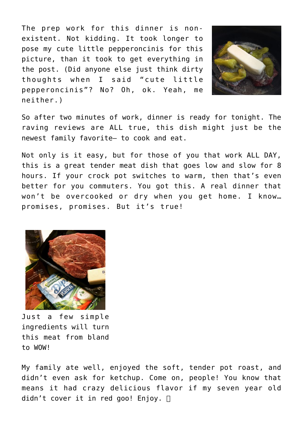The prep work for this dinner is nonexistent. Not kidding. It took longer to pose my cute little pepperoncinis for this picture, than it took to get everything in the post. (Did anyone else just think dirty thoughts when I said "cute little pepperoncinis"? No? Oh, ok. Yeah, me neither.)



So after two minutes of work, dinner is ready for tonight. The raving reviews are ALL true, this dish might just be the newest family favorite– to cook and eat.

Not only is it easy, but for those of you that work ALL DAY, this is a great tender meat dish that goes low and slow for 8 hours. If your crock pot switches to warm, then that's even better for you commuters. You got this. A real dinner that won't be overcooked or dry when you get home. I know… promises, promises. But it's true!



Just a few simple ingredients will turn this meat from bland to WOW!

My family ate well, enjoyed the soft, tender pot roast, and didn't even ask for ketchup. Come on, people! You know that means it had crazy delicious flavor if my seven year old didn't cover it in red goo! Enjoy.  $\Box$